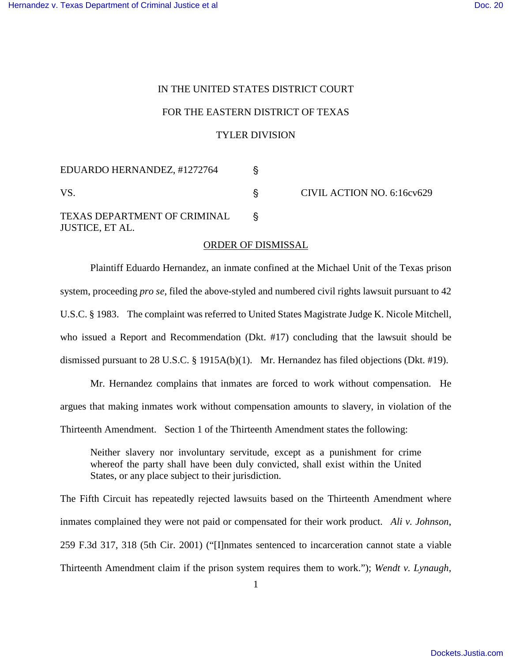## IN THE UNITED STATES DISTRICT COURT FOR THE EASTERN DISTRICT OF TEXAS TYLER DIVISION

EDUARDO HERNANDEZ, #1272764 ' VS. S CIVIL ACTION NO. 6:16cv629 TEXAS DEPARTMENT OF CRIMINAL ' JUSTICE, ET AL.

## ORDER OF DISMISSAL

Plaintiff Eduardo Hernandez, an inmate confined at the Michael Unit of the Texas prison system, proceeding *pro se*, filed the above-styled and numbered civil rights lawsuit pursuant to 42 U.S.C. § 1983. The complaint was referred to United States Magistrate Judge K. Nicole Mitchell, who issued a Report and Recommendation (Dkt. #17) concluding that the lawsuit should be dismissed pursuant to 28 U.S.C. § 1915A(b)(1). Mr. Hernandez has filed objections (Dkt. #19).

Mr. Hernandez complains that inmates are forced to work without compensation. He argues that making inmates work without compensation amounts to slavery, in violation of the Thirteenth Amendment. Section 1 of the Thirteenth Amendment states the following:

Neither slavery nor involuntary servitude, except as a punishment for crime whereof the party shall have been duly convicted, shall exist within the United States, or any place subject to their jurisdiction.

The Fifth Circuit has repeatedly rejected lawsuits based on the Thirteenth Amendment where inmates complained they were not paid or compensated for their work product. *Ali v. Johnson*, 259 F.3d 317, 318 (5th Cir. 2001) ("[I]nmates sentenced to incarceration cannot state a viable Thirteenth Amendment claim if the prison system requires them to work."); *Wendt v. Lynaugh*,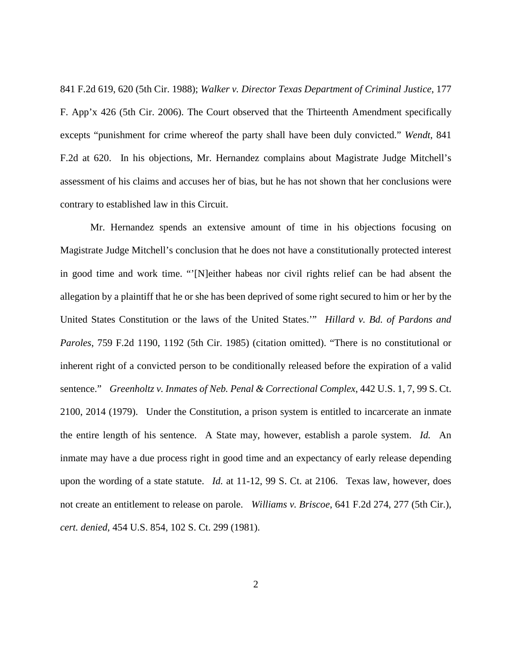841 F.2d 619, 620 (5th Cir. 1988); *Walker v. Director Texas Department of Criminal Justice*, 177 F. App'x 426 (5th Cir. 2006). The Court observed that the Thirteenth Amendment specifically excepts "punishment for crime whereof the party shall have been duly convicted." *Wendt*, 841 F.2d at 620. In his objections, Mr. Hernandez complains about Magistrate Judge Mitchell's assessment of his claims and accuses her of bias, but he has not shown that her conclusions were contrary to established law in this Circuit.

Mr. Hernandez spends an extensive amount of time in his objections focusing on Magistrate Judge Mitchell's conclusion that he does not have a constitutionally protected interest in good time and work time. "'[N]either habeas nor civil rights relief can be had absent the allegation by a plaintiff that he or she has been deprived of some right secured to him or her by the United States Constitution or the laws of the United States.'" *Hillard v. Bd. of Pardons and Paroles*, 759 F.2d 1190, 1192 (5th Cir. 1985) (citation omitted). "There is no constitutional or inherent right of a convicted person to be conditionally released before the expiration of a valid sentence." *Greenholtz v. Inmates of Neb. Penal & Correctional Complex*, 442 U.S. 1, 7, 99 S. Ct. 2100, 2014 (1979). Under the Constitution, a prison system is entitled to incarcerate an inmate the entire length of his sentence. A State may, however, establish a parole system. *Id.* An inmate may have a due process right in good time and an expectancy of early release depending upon the wording of a state statute. *Id.* at 11-12, 99 S. Ct. at 2106. Texas law, however, does not create an entitlement to release on parole. *Williams v. Briscoe*, 641 F.2d 274, 277 (5th Cir.), *cert. denied*, 454 U.S. 854, 102 S. Ct. 299 (1981).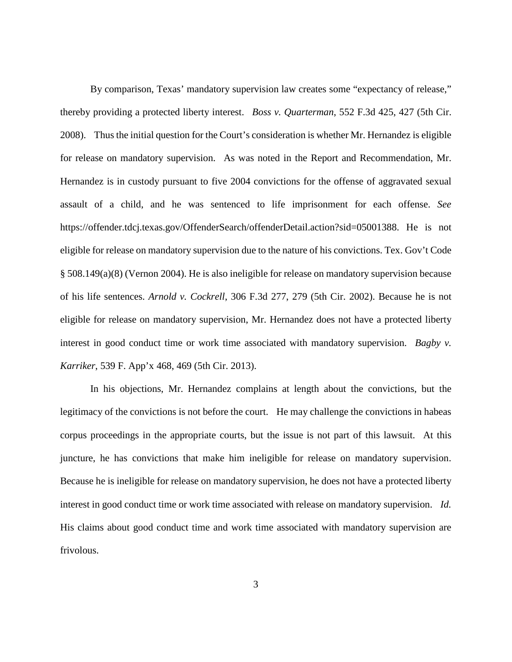By comparison, Texas' mandatory supervision law creates some "expectancy of release," thereby providing a protected liberty interest. *Boss v. Quarterman*, 552 F.3d 425, 427 (5th Cir. 2008). Thus the initial question for the Court's consideration is whether Mr. Hernandez is eligible for release on mandatory supervision. As was noted in the Report and Recommendation, Mr. Hernandez is in custody pursuant to five 2004 convictions for the offense of aggravated sexual assault of a child, and he was sentenced to life imprisonment for each offense. *See* https://offender.tdcj.texas.gov/OffenderSearch/offenderDetail.action?sid=05001388. He is not eligible for release on mandatory supervision due to the nature of his convictions. Tex. Gov't Code § 508.149(a)(8) (Vernon 2004). He is also ineligible for release on mandatory supervision because of his life sentences. *Arnold v. Cockrell*, 306 F.3d 277, 279 (5th Cir. 2002). Because he is not eligible for release on mandatory supervision, Mr. Hernandez does not have a protected liberty interest in good conduct time or work time associated with mandatory supervision. *Bagby v. Karriker*, 539 F. App'x 468, 469 (5th Cir. 2013).

In his objections, Mr. Hernandez complains at length about the convictions, but the legitimacy of the convictions is not before the court. He may challenge the convictions in habeas corpus proceedings in the appropriate courts, but the issue is not part of this lawsuit. At this juncture, he has convictions that make him ineligible for release on mandatory supervision. Because he is ineligible for release on mandatory supervision, he does not have a protected liberty interest in good conduct time or work time associated with release on mandatory supervision. *Id.* His claims about good conduct time and work time associated with mandatory supervision are frivolous.